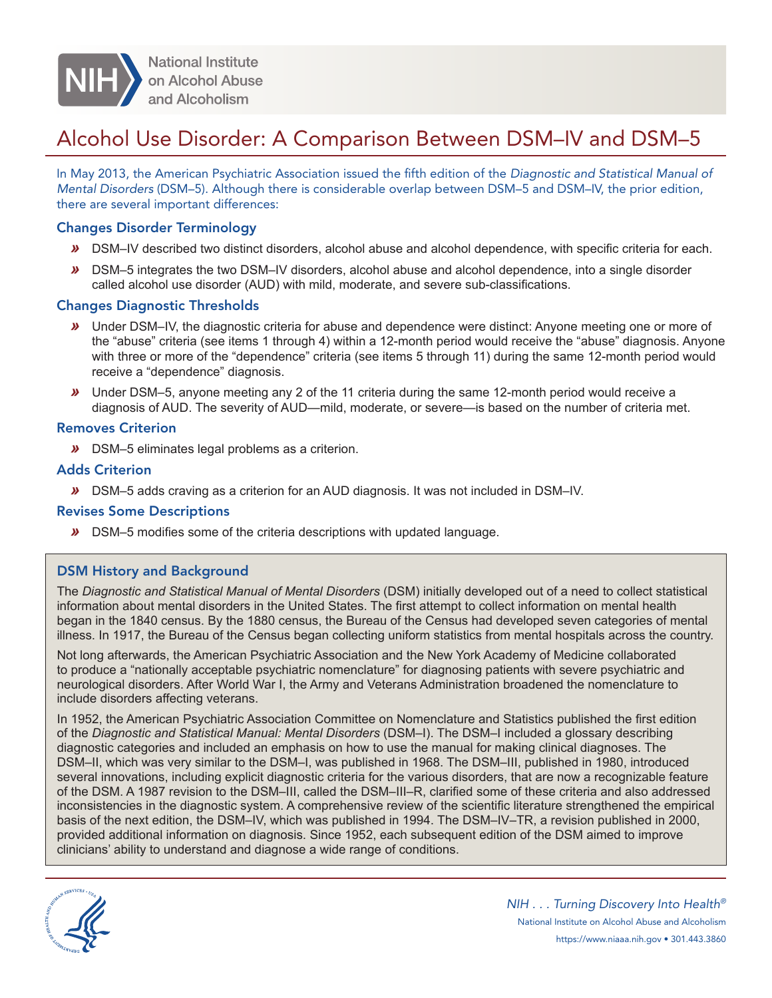

# Alcohol Use Disorder: A Comparison Between DSM–IV and DSM–5

In May 2013, the American Psychiatric Association issued the fifth edition of the *Diagnostic and Statistical Manual of Mental Disorders* (DSM–5). Although there is considerable overlap between DSM–5 and DSM–IV, the prior edition, there are several important differences:

# Changes Disorder Terminology

- *»* DSM–IV described two distinct disorders, alcohol abuse and alcohol dependence, with specific criteria for each.
- *»* DSM–5 integrates the two DSM–IV disorders, alcohol abuse and alcohol dependence, into a single disorder called alcohol use disorder (AUD) with mild, moderate, and severe sub-classifications.

# Changes Diagnostic Thresholds

- *»* Under DSM–IV, the diagnostic criteria for abuse and dependence were distinct: Anyone meeting one or more of the "abuse" criteria (see items 1 through 4) within a 12-month period would receive the "abuse" diagnosis. Anyone with three or more of the "dependence" criteria (see items 5 through 11) during the same 12-month period would receive a "dependence" diagnosis.
- *»* Under DSM–5, anyone meeting any 2 of the 11 criteria during the same 12-month period would receive a diagnosis of AUD. The severity of AUD—mild, moderate, or severe—is based on the number of criteria met.

#### Removes Criterion

*»* DSM–5 eliminates legal problems as a criterion.

# Adds Criterion

*»* DSM–5 adds craving as a criterion for an AUD diagnosis. It was not included in DSM–IV.

#### Revises Some Descriptions

*»* DSM–5 modifies some of the criteria descriptions with updated language.

#### DSM History and Background

The *Diagnostic and Statistical Manual of Mental Disorders* (DSM) initially developed out of a need to collect statistical information about mental disorders in the United States. The first attempt to collect information on mental health began in the 1840 census. By the 1880 census, the Bureau of the Census had developed seven categories of mental illness. In 1917, the Bureau of the Census began collecting uniform statistics from mental hospitals across the country.

Not long afterwards, the American Psychiatric Association and the New York Academy of Medicine collaborated to produce a "nationally acceptable psychiatric nomenclature" for diagnosing patients with severe psychiatric and neurological disorders. After World War I, the Army and Veterans Administration broadened the nomenclature to include disorders affecting veterans.

In 1952, the American Psychiatric Association Committee on Nomenclature and Statistics published the first edition of the *Diagnostic and Statistical Manual: Mental Disorders* (DSM–I). The DSM–I included a glossary describing diagnostic categories and included an emphasis on how to use the manual for making clinical diagnoses. The DSM–II, which was very similar to the DSM–I, was published in 1968. The DSM–III, published in 1980, introduced several innovations, including explicit diagnostic criteria for the various disorders, that are now a recognizable feature of the DSM. A 1987 revision to the DSM–III, called the DSM–III–R, clarified some of these criteria and also addressed inconsistencies in the diagnostic system. A comprehensive review of the scientific literature strengthened the empirical basis of the next edition, the DSM–IV, which was published in 1994. The DSM–IV–TR, a revision published in 2000, provided additional information on diagnosis. Since 1952, each subsequent edition of the DSM aimed to improve clinicians' ability to understand and diagnose a wide range of conditions.